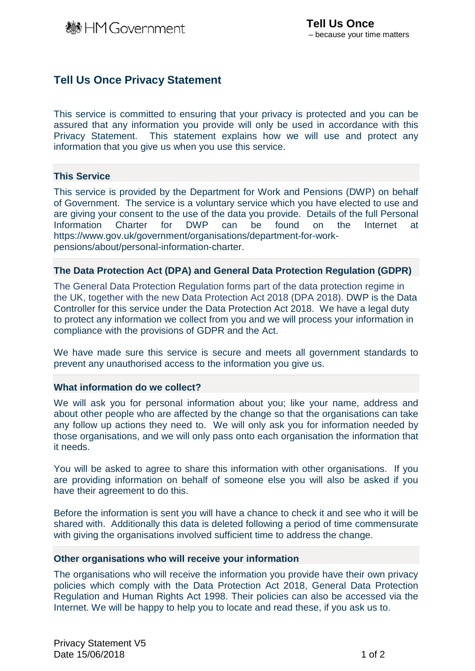# **Tell Us Once Privacy Statement**

This service is committed to ensuring that your privacy is protected and you can be assured that any information you provide will only be used in accordance with this Privacy Statement. This statement explains how we will use and protect any information that you give us when you use this service.

## **This Service**

This service is provided by the Department for Work and Pensions (DWP) on behalf of Government. The service is a voluntary service which you have elected to use and are giving your consent to the use of the data you provide. Details of the full Personal<br>Information Charter for DWP can be found on the Internet at Information Charter for DWP can be found on the Internet at https://www.gov.uk/government/organisations/department-for-workpensions/about/personal-information-charter.

#### **The Data Protection Act (DPA) and General Data Protection Regulation (GDPR)**

The General Data Protection Regulation forms part of the data protection regime in the UK, together with the new Data Protection Act 2018 (DPA 2018). DWP is the Data Controller for this service under the Data Protection Act 2018. We have a legal duty to protect any information we collect from you and we will process your information in compliance with the provisions of GDPR and the Act.

We have made sure this service is secure and meets all government standards to prevent any unauthorised access to the information you give us.

#### **What information do we collect?**

We will ask you for personal information about you; like your name, address and about other people who are affected by the change so that the organisations can take any follow up actions they need to. We will only ask you for information needed by those organisations, and we will only pass onto each organisation the information that it needs.

You will be asked to agree to share this information with other organisations. If you are providing information on behalf of someone else you will also be asked if you have their agreement to do this.

Before the information is sent you will have a chance to check it and see who it will be shared with. Additionally this data is deleted following a period of time commensurate with giving the organisations involved sufficient time to address the change.

#### **Other organisations who will receive your information**

The organisations who will receive the information you provide have their own privacy policies which comply with the Data Protection Act 2018, General Data Protection Regulation and Human Rights Act 1998. Their policies can also be accessed via the Internet. We will be happy to help you to locate and read these, if you ask us to.